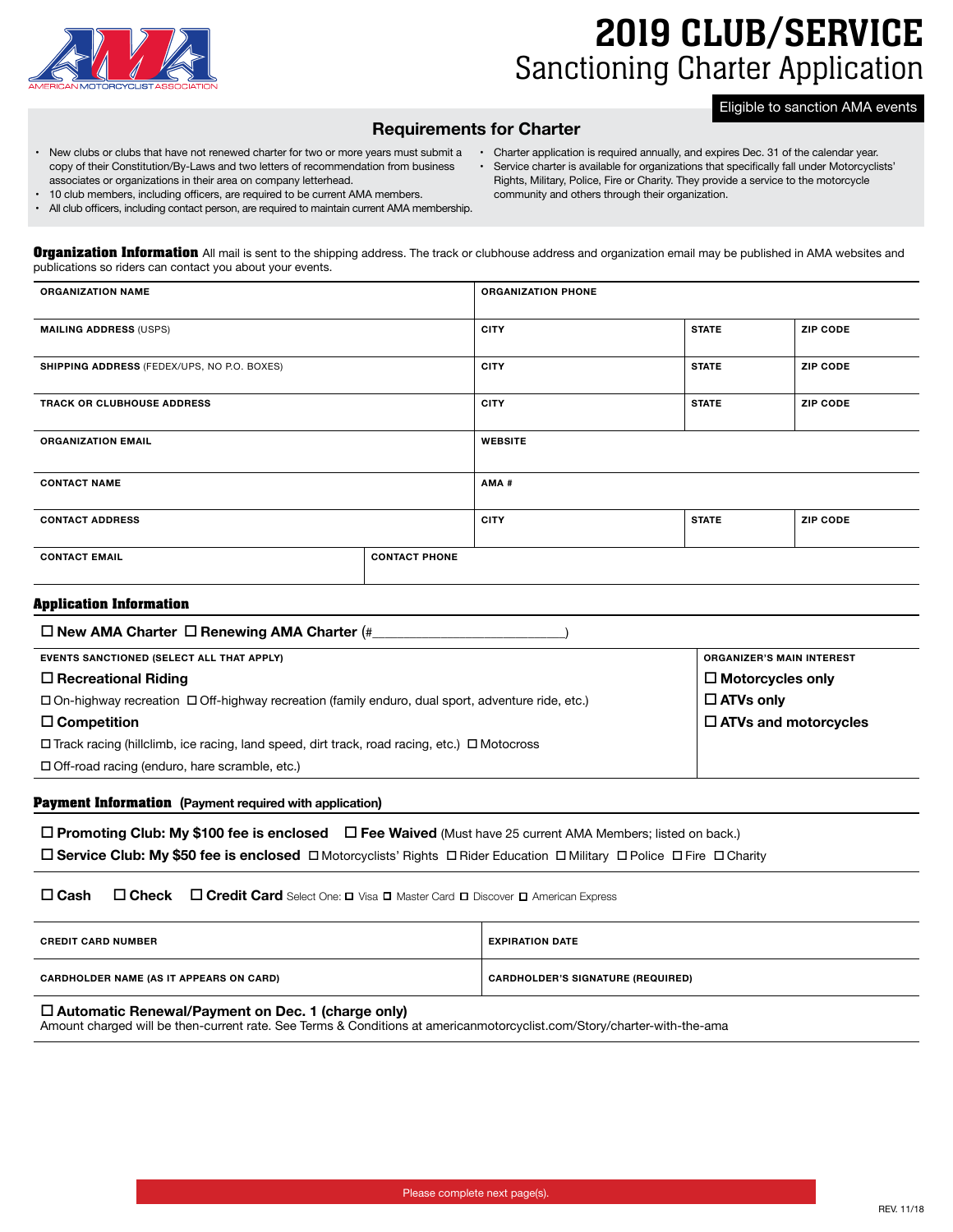

# 2019 CLUB/SERVICE Sanctioning Charter Application

#### Eligible to sanction AMA events

# **Requirements for Charter**

• New clubs or clubs that have not renewed charter for two or more years must submit a copy of their Constitution/By-Laws and two letters of recommendation from business associates or organizations in their area on company letterhead.

• 10 club members, including officers, are required to be current AMA members. • All club officers, including contact person, are required to maintain current AMA membership.

- Charter application is required annually, and expires Dec. 31 of the calendar year.
- Service charter is available for organizations that specifically fall under Motorcyclists' Rights, Military, Police, Fire or Charity. They provide a service to the motorcycle community and others through their organization.
- **Organization Information** All mail is sent to the shipping address. The track or clubhouse address and organization email may be published in AMA websites and publications so riders can contact you about your events.

| <b>ORGANIZATION NAME</b>                    |                      | <b>ORGANIZATION PHONE</b> |              |                 |
|---------------------------------------------|----------------------|---------------------------|--------------|-----------------|
|                                             |                      |                           |              |                 |
| <b>MAILING ADDRESS (USPS)</b>               |                      | <b>CITY</b>               | <b>STATE</b> | <b>ZIP CODE</b> |
| SHIPPING ADDRESS (FEDEX/UPS, NO P.O. BOXES) |                      | <b>CITY</b>               | <b>STATE</b> | <b>ZIP CODE</b> |
| <b>TRACK OR CLUBHOUSE ADDRESS</b>           |                      | <b>CITY</b>               | <b>STATE</b> | <b>ZIP CODE</b> |
| <b>ORGANIZATION EMAIL</b>                   |                      | <b>WEBSITE</b>            |              |                 |
| <b>CONTACT NAME</b>                         |                      | AMA#                      |              |                 |
| <b>CONTACT ADDRESS</b>                      |                      | <b>CITY</b>               | <b>STATE</b> | <b>ZIP CODE</b> |
| <b>CONTACT EMAIL</b>                        | <b>CONTACT PHONE</b> |                           |              |                 |
|                                             |                      |                           |              |                 |

#### **Application Information**

| $\Box$ New AMA Charter $\Box$ Renewing AMA Charter (#                                                        |                                  |  |  |  |  |
|--------------------------------------------------------------------------------------------------------------|----------------------------------|--|--|--|--|
| EVENTS SANCTIONED (SELECT ALL THAT APPLY)                                                                    | <b>ORGANIZER'S MAIN INTEREST</b> |  |  |  |  |
| $\Box$ Recreational Riding                                                                                   | $\Box$ Motorcycles only          |  |  |  |  |
| $\Box$ On-highway recreation $\Box$ Off-highway recreation (family enduro, dual sport, adventure ride, etc.) | $\Box$ ATVs only                 |  |  |  |  |
| $\Box$ Competition                                                                                           | $\Box$ ATVs and motorcycles      |  |  |  |  |
| $\Box$ Track racing (hillclimb, ice racing, land speed, dirt track, road racing, etc.) $\Box$ Motocross      |                                  |  |  |  |  |
| $\Box$ Off-road racing (enduro, hare scramble, etc.)                                                         |                                  |  |  |  |  |
|                                                                                                              |                                  |  |  |  |  |

#### **Payment Information (Payment required with application)**

| □ Promoting Club: My \$100 fee is enclosed □ Fee Waived (Must have 25 current AMA Members; listed on back.)            |  |  |  |
|------------------------------------------------------------------------------------------------------------------------|--|--|--|
| □ Service Club: My \$50 fee is enclosed □ Motorcyclists' Rights □ Rider Education □ Military □ Police □ Fire □ Charity |  |  |  |

## **Cash Check Credit Card** Select One: ⎕ Visa ⎕ Master Card ⎕ Discover ⎕ American Express

| <b>CREDIT CARD NUMBER</b>                      | <b>EXPIRATION DATE</b>                   |
|------------------------------------------------|------------------------------------------|
| <b>CARDHOLDER NAME (AS IT APPEARS ON CARD)</b> | <b>CARDHOLDER'S SIGNATURE (REQUIRED)</b> |

## **Automatic Renewal/Payment on Dec. 1 (charge only)**

Amount charged will be then-current rate. See Terms & Conditions at americanmotorcyclist.com/Story/charter-with-the-ama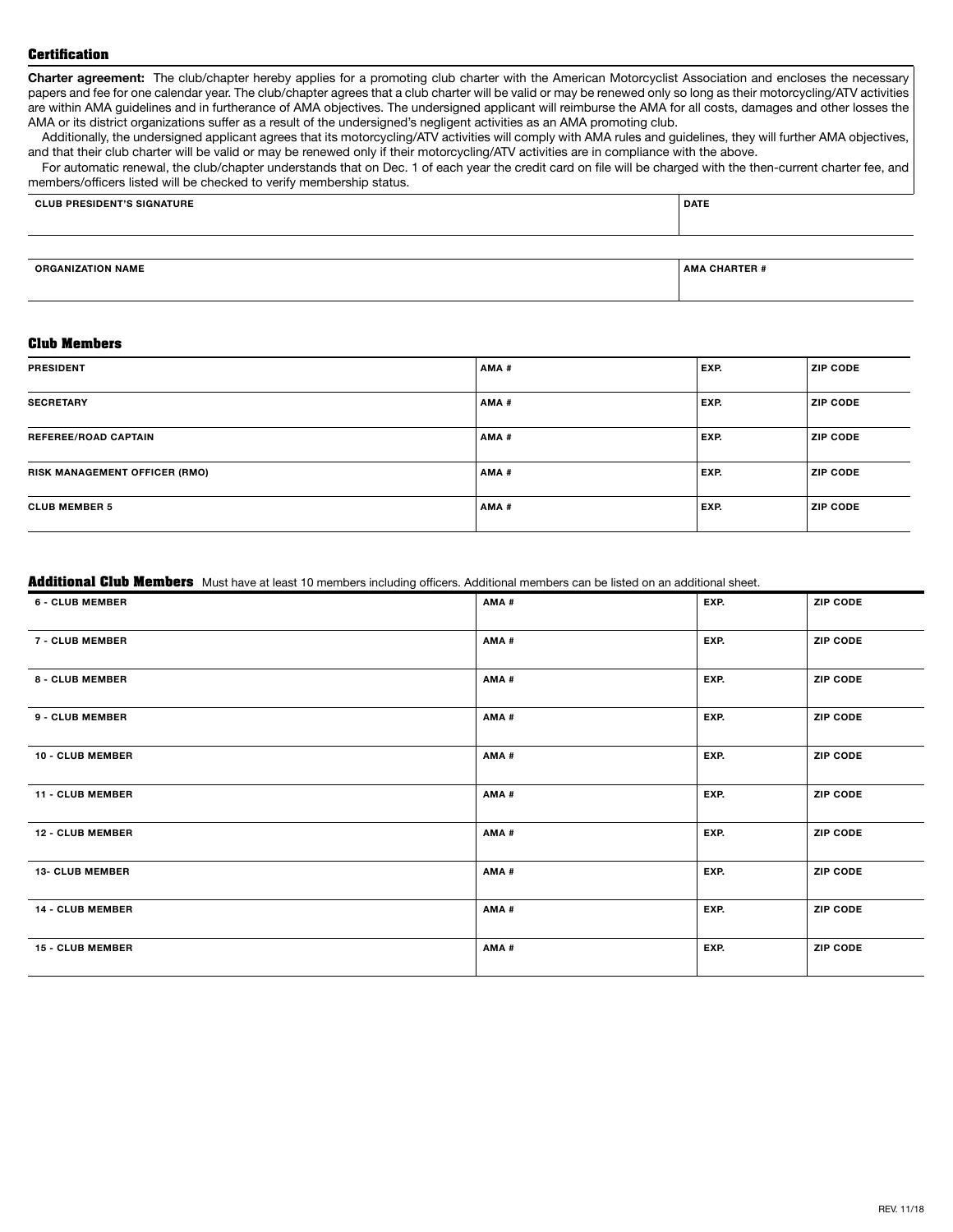#### **Certification**

**Charter agreement:** The club/chapter hereby applies for a promoting club charter with the American Motorcyclist Association and encloses the necessary papers and fee for one calendar year. The club/chapter agrees that a club charter will be valid or may be renewed only so long as their motorcycling/ATV activities are within AMA guidelines and in furtherance of AMA objectives. The undersigned applicant will reimburse the AMA for all costs, damages and other losses the AMA or its district organizations suffer as a result of the undersigned's negligent activities as an AMA promoting club.

Additionally, the undersigned applicant agrees that its motorcycling/ATV activities will comply with AMA rules and guidelines, they will further AMA objectives, and that their club charter will be valid or may be renewed only if their motorcycling/ATV activities are in compliance with the above.

For automatic renewal, the club/chapter understands that on Dec. 1 of each year the credit card on file will be charged with the then-current charter fee, and members/officers listed will be checked to verify membership status.

| <b>CLUB PRESIDENT'S SIGNATURE</b> | DATE |
|-----------------------------------|------|
|                                   |      |

**ORGANIZATION NAME AMA CHARTER #**

#### **Club Members**

| <b>PRESIDENT</b>                     | AMA# | EXP. | <b>ZIP CODE</b> |
|--------------------------------------|------|------|-----------------|
| <b>SECRETARY</b>                     | AMA# | EXP. | <b>ZIP CODE</b> |
| <b>REFEREE/ROAD CAPTAIN</b>          | AMA# | EXP. | <b>ZIP CODE</b> |
| <b>RISK MANAGEMENT OFFICER (RMO)</b> | AMA# | EXP. | <b>ZIP CODE</b> |
| <b>CLUB MEMBER 5</b>                 | AMA# | EXP. | <b>ZIP CODE</b> |

#### **Additional Club Members** Must have at least 10 members including officers. Additional members can be listed on an additional sheet.

| <b>6 - CLUB MEMBER</b>  | AMA# | EXP. | <b>ZIP CODE</b> |
|-------------------------|------|------|-----------------|
| 7 - CLUB MEMBER         | AMA# | EXP. | <b>ZIP CODE</b> |
| 8 - CLUB MEMBER         | AMA# | EXP. | <b>ZIP CODE</b> |
| 9 - CLUB MEMBER         | AMA# | EXP. | <b>ZIP CODE</b> |
| 10 - CLUB MEMBER        | AMA# | EXP. | <b>ZIP CODE</b> |
| 11 - CLUB MEMBER        | AMA# | EXP. | <b>ZIP CODE</b> |
| <b>12 - CLUB MEMBER</b> | AMA# | EXP. | <b>ZIP CODE</b> |
| <b>13- CLUB MEMBER</b>  | AMA# | EXP. | <b>ZIP CODE</b> |
| 14 - CLUB MEMBER        | AMA# | EXP. | <b>ZIP CODE</b> |
| <b>15 - CLUB MEMBER</b> | AMA# | EXP. | <b>ZIP CODE</b> |